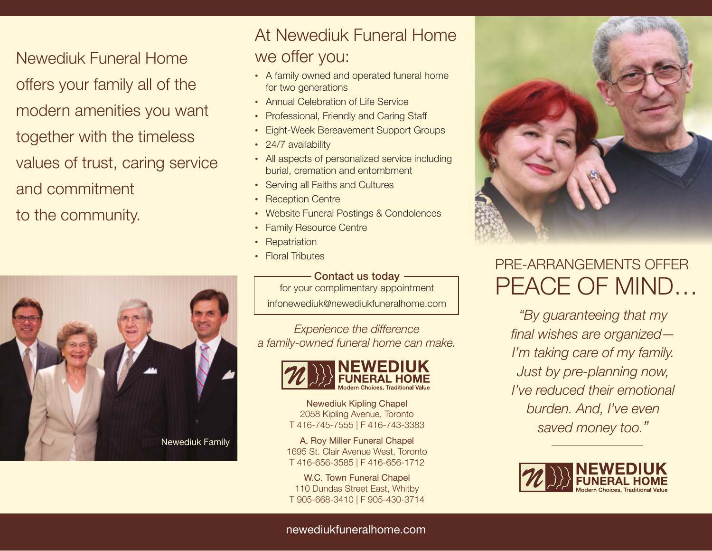Newediuk Funeral Home offers your family all of the modern amenities you want together with the timeless values of trust, caring service and commitment to the community.



## At Newediuk Funeral Home we offer you:

- A family owned and operated funeral home for two generations
- Annual Celebration of Life Service
- Professional, Friendly and Caring Staff
- Eight-Week Bereavement Support Groups
- 24/7 availability
- All aspects of personalized service including burial, cremation and entombment
- Serving all Faiths and Cultures
- Reception Centre
- Website Funeral Postings & Condolences
- Family Resource Centre
- Repatriation
- Floral Tributes

## - Contact us today -

for your complimentary appointment infonewediuk@newediukfuneralhome.com

*Experience the difference a family-owned funeral home can make.*



Newediuk Kipling Chapel 2058 Kipling Avenue, Toronto T 416-745-7555 | F 416-743-3383

A. Roy Miller Funeral Chapel 1695 St. Clair Avenue West, Toronto T 416-656-3585 | F 416-656-1712

W.C. Town Funeral Chapel 110 Dundas Street East, Whitby T 905-668-3410 | F 905-430-3714



# PRE-ARRANGEMENTS OFFFR peace of mind…

*"By guaranteeing that my final wishes are organized— I'm taking care of my family. Just by pre-planning now, I've reduced their emotional burden. And, I've even saved money too."*